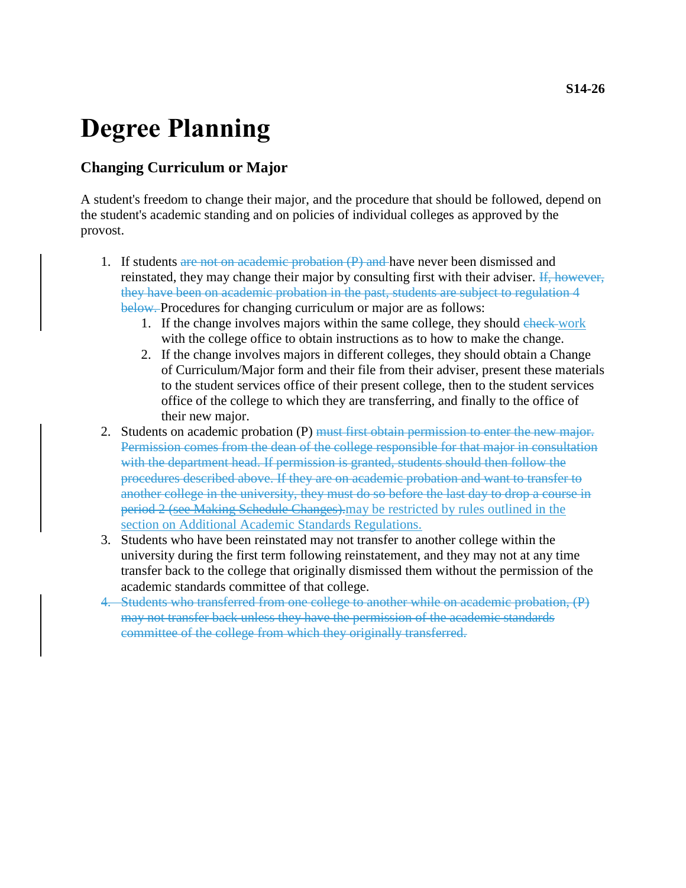## **Degree Planning**

## **Changing Curriculum or Major**

A student's freedom to change their major, and the procedure that should be followed, depend on the student's academic standing and on policies of individual colleges as approved by the provost.

- 1. If students are not on academic probation  $(P)$  and have never been dismissed and reinstated, they may change their major by consulting first with their adviser. If, however, they have been on academic probation in the past, students are subject to regulation 4 below. Procedures for changing curriculum or major are as follows:
	- 1. If the change involves majors within the same college, they should check-work with the college office to obtain instructions as to how to make the change.
	- 2. If the change involves majors in different colleges, they should obtain a Change of Curriculum/Major form and their file from their adviser, present these materials to the student services office of their present college, then to the student services office of the college to which they are transferring, and finally to the office of their new major.
- 2. Students on academic probation (P) must first obtain permission to enter the new major. Permission comes from the dean of the college responsible for that major in consultation with the department head. If permission is granted, students should then follow the procedures described above. If they are on academic probation and want to transfer to another college in the university, they must do so before the last day to drop a course in period 2 (see Making Schedule Changes).may be restricted by rules outlined in the section on Additional Academic Standards Regulations.
- 3. Students who have been reinstated may not transfer to another college within the university during the first term following reinstatement, and they may not at any time transfer back to the college that originally dismissed them without the permission of the academic standards committee of that college.
- 4. Students who transferred from one college to another while on academic probation, (P) may not transfer back unless they have the permission of the academic standards committee of the college from which they originally transferred.